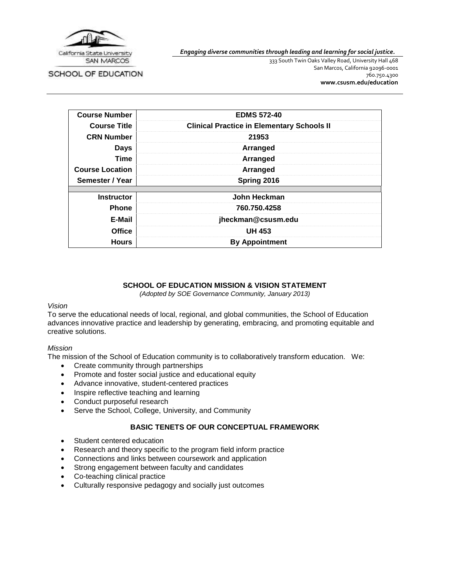

SCHOOL OF EDUCATION

*Engaging diverse communities through leading and learning for social justice.*

333 South Twin Oaks Valley Road, University Hall 468 San Marcos, California 92096-0001 760.750.4300 **[www.csusm.edu/education](http://www.csusm.edu/education)**

| <b>Course Number</b>   | <b>EDMS 572-40</b>                                |
|------------------------|---------------------------------------------------|
| <b>Course Title</b>    | <b>Clinical Practice in Elementary Schools II</b> |
| <b>CRN Number</b>      | 21953                                             |
| <b>Days</b>            | Arranged                                          |
| Time                   | Arranged                                          |
| <b>Course Location</b> | Arranged                                          |
| Semester / Year        | Spring 2016                                       |
|                        |                                                   |
| <b>Instructor</b>      | John Heckman                                      |
| <b>Phone</b>           | 760.750.4258                                      |
| E-Mail                 | jheckman@csusm.edu                                |
| <b>Office</b>          | <b>UH 453</b>                                     |
| <b>Hours</b>           | <b>By Appointment</b>                             |

### **SCHOOL OF EDUCATION MISSION & VISION STATEMENT**

*(Adopted by SOE Governance Community, January 2013)*

### *Vision*

To serve the educational needs of local, regional, and global communities, the School of Education advances innovative practice and leadership by generating, embracing, and promoting equitable and creative solutions.

### *Mission*

The mission of the School of Education community is to collaboratively transform education. We:

- Create community through partnerships
- Promote and foster social justice and educational equity
- Advance innovative, student-centered practices
- Inspire reflective teaching and learning
- Conduct purposeful research
- Serve the School, College, University, and Community

## **BASIC TENETS OF OUR CONCEPTUAL FRAMEWORK**

- Student centered education
- Research and theory specific to the program field inform practice
- Connections and links between coursework and application
- Strong engagement between faculty and candidates
- Co-teaching clinical practice
- Culturally responsive pedagogy and socially just outcomes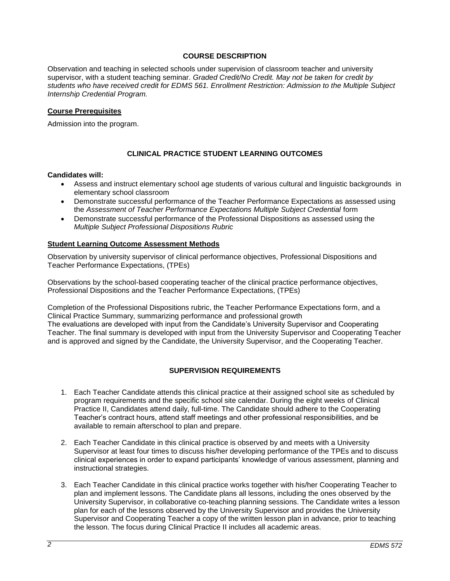## **COURSE DESCRIPTION**

Observation and teaching in selected schools under supervision of classroom teacher and university supervisor, with a student teaching seminar. *Graded Credit/No Credit. May not be taken for credit by students who have received credit for EDMS 561. Enrollment Restriction: Admission to the Multiple Subject Internship Credential Program.*

### **Course Prerequisites**

Admission into the program.

## **CLINICAL PRACTICE STUDENT LEARNING OUTCOMES**

#### **Candidates will:**

- Assess and instruct elementary school age students of various cultural and linguistic backgrounds in elementary school classroom
- Demonstrate successful performance of the Teacher Performance Expectations as assessed using the *Assessment of Teacher Performance Expectations Multiple Subject Credential* form
- Demonstrate successful performance of the Professional Dispositions as assessed using the *Multiple Subject Professional Dispositions Rubric*

### **Student Learning Outcome Assessment Methods**

Observation by university supervisor of clinical performance objectives, Professional Dispositions and Teacher Performance Expectations, (TPEs)

Observations by the school-based cooperating teacher of the clinical practice performance objectives, Professional Dispositions and the Teacher Performance Expectations, (TPEs)

Completion of the Professional Dispositions rubric, the Teacher Performance Expectations form, and a Clinical Practice Summary, summarizing performance and professional growth The evaluations are developed with input from the Candidate's University Supervisor and Cooperating Teacher. The final summary is developed with input from the University Supervisor and Cooperating Teacher and is approved and signed by the Candidate, the University Supervisor, and the Cooperating Teacher.

## **SUPERVISION REQUIREMENTS**

- 1. Each Teacher Candidate attends this clinical practice at their assigned school site as scheduled by program requirements and the specific school site calendar. During the eight weeks of Clinical Practice II, Candidates attend daily, full-time. The Candidate should adhere to the Cooperating Teacher's contract hours, attend staff meetings and other professional responsibilities, and be available to remain afterschool to plan and prepare.
- 2. Each Teacher Candidate in this clinical practice is observed by and meets with a University Supervisor at least four times to discuss his/her developing performance of the TPEs and to discuss clinical experiences in order to expand participants' knowledge of various assessment, planning and instructional strategies.
- 3. Each Teacher Candidate in this clinical practice works together with his/her Cooperating Teacher to plan and implement lessons. The Candidate plans all lessons, including the ones observed by the University Supervisor, in collaborative co-teaching planning sessions. The Candidate writes a lesson plan for each of the lessons observed by the University Supervisor and provides the University Supervisor and Cooperating Teacher a copy of the written lesson plan in advance, prior to teaching the lesson. The focus during Clinical Practice II includes all academic areas.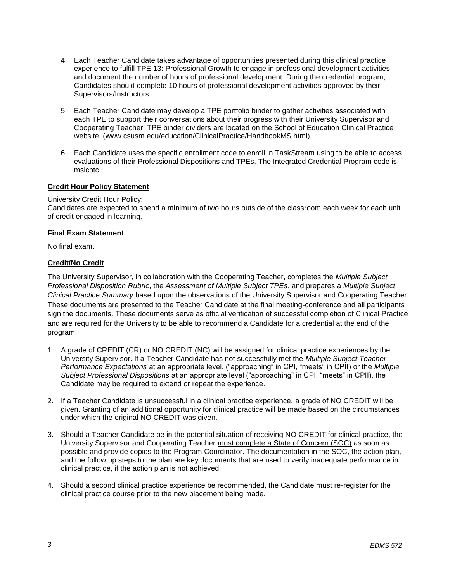- 4. Each Teacher Candidate takes advantage of opportunities presented during this clinical practice experience to fulfill TPE 13: Professional Growth to engage in professional development activities and document the number of hours of professional development. During the credential program, Candidates should complete 10 hours of professional development activities approved by their Supervisors/Instructors.
- 5. Each Teacher Candidate may develop a TPE portfolio binder to gather activities associated with each TPE to support their conversations about their progress with their University Supervisor and Cooperating Teacher. TPE binder dividers are located on the School of Education Clinical Practice website. (www.csusm.edu/education/ClinicalPractice/HandbookMS.html)
- 6. Each Candidate uses the specific enrollment code to enroll in TaskStream using to be able to access evaluations of their Professional Dispositions and TPEs. The Integrated Credential Program code is msicptc.

## **Credit Hour Policy Statement**

### University Credit Hour Policy:

Candidates are expected to spend a minimum of two hours outside of the classroom each week for each unit of credit engaged in learning.

## **Final Exam Statement**

No final exam.

## **Credit/No Credit**

The University Supervisor, in collaboration with the Cooperating Teacher, completes the *Multiple Subject Professional Disposition Rubric*, the *Assessment of Multiple Subject TPEs*, and prepares a *Multiple Subject Clinical Practice Summary* based upon the observations of the University Supervisor and Cooperating Teacher. These documents are presented to the Teacher Candidate at the final meeting-conference and all participants sign the documents. These documents serve as official verification of successful completion of Clinical Practice and are required for the University to be able to recommend a Candidate for a credential at the end of the program.

- 1. A grade of CREDIT (CR) or NO CREDIT (NC) will be assigned for clinical practice experiences by the University Supervisor. If a Teacher Candidate has not successfully met the *Multiple Subject Teacher Performance Expectations* at an appropriate level, ("approaching" in CPI, "meets" in CPII) or the *Multiple Subject Professional Dispositions* at an appropriate level ("approaching" in CPI, "meets" in CPII), the Candidate may be required to extend or repeat the experience.
- 2. If a Teacher Candidate is unsuccessful in a clinical practice experience, a grade of NO CREDIT will be given. Granting of an additional opportunity for clinical practice will be made based on the circumstances under which the original NO CREDIT was given.
- 3. Should a Teacher Candidate be in the potential situation of receiving NO CREDIT for clinical practice, the University Supervisor and Cooperating Teacher must complete a State of Concern (SOC) as soon as possible and provide copies to the Program Coordinator. The documentation in the SOC, the action plan, and the follow up steps to the plan are key documents that are used to verify inadequate performance in clinical practice, if the action plan is not achieved.
- 4. Should a second clinical practice experience be recommended, the Candidate must re-register for the clinical practice course prior to the new placement being made.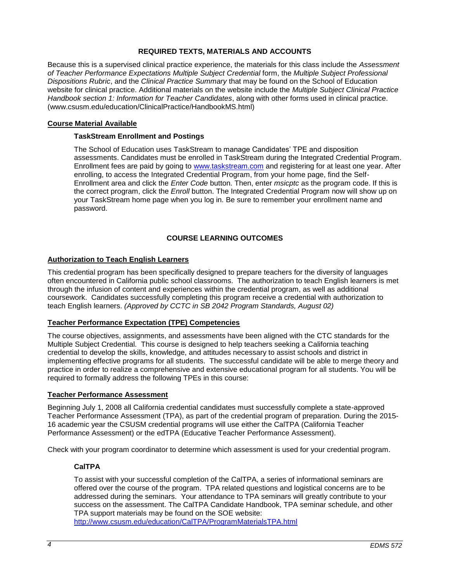### **REQUIRED TEXTS, MATERIALS AND ACCOUNTS**

Because this is a supervised clinical practice experience, the materials for this class include the *Assessment of Teacher Performance Expectations Multiple Subject Credential* form, the *Multiple Subject Professional Dispositions Rubric*, and the *Clinical Practice Summary* that may be found on the School of Education website for clinical practice. Additional materials on the website include the *Multiple Subject Clinical Practice Handbook section 1: Information for Teacher Candidates*, along with other forms used in clinical practice. (www.csusm.edu/education/ClinicalPractice/HandbookMS.html)

### **Course Material Available**

### **TaskStream Enrollment and Postings**

The School of Education uses TaskStream to manage Candidates' TPE and disposition assessments. Candidates must be enrolled in TaskStream during the Integrated Credential Program. Enrollment fees are paid by going to [www.taskstream.com](http://www.taskstrem.com/) and registering for at least one year. After enrolling, to access the Integrated Credential Program, from your home page, find the Self-Enrollment area and click the *Enter Code* button. Then, enter *msicptc* as the program code. If this is the correct program, click the *Enroll* button. The Integrated Credential Program now will show up on your TaskStream home page when you log in. Be sure to remember your enrollment name and password.

## **COURSE LEARNING OUTCOMES**

### **Authorization to Teach English Learners**

This credential program has been specifically designed to prepare teachers for the diversity of languages often encountered in California public school classrooms. The authorization to teach English learners is met through the infusion of content and experiences within the credential program, as well as additional coursework. Candidates successfully completing this program receive a credential with authorization to teach English learners. *(Approved by CCTC in SB 2042 Program Standards, August 02)*

## **Teacher Performance Expectation (TPE) Competencies**

The course objectives, assignments, and assessments have been aligned with the CTC standards for the Multiple Subject Credential. This course is designed to help teachers seeking a California teaching credential to develop the skills, knowledge, and attitudes necessary to assist schools and district in implementing effective programs for all students. The successful candidate will be able to merge theory and practice in order to realize a comprehensive and extensive educational program for all students. You will be required to formally address the following TPEs in this course:

### **Teacher Performance Assessment**

Beginning July 1, 2008 all California credential candidates must successfully complete a state-approved Teacher Performance Assessment (TPA), as part of the credential program of preparation. During the 2015- 16 academic year the CSUSM credential programs will use either the CalTPA (California Teacher Performance Assessment) or the edTPA (Educative Teacher Performance Assessment).

Check with your program coordinator to determine which assessment is used for your credential program.

### **CalTPA**

To assist with your successful completion of the CalTPA, a series of informational seminars are offered over the course of the program. TPA related questions and logistical concerns are to be addressed during the seminars. Your attendance to TPA seminars will greatly contribute to your success on the assessment. The CalTPA Candidate Handbook, TPA seminar schedule, and other TPA support materials may be found on the SOE website:

<http://www.csusm.edu/education/CalTPA/ProgramMaterialsTPA.html>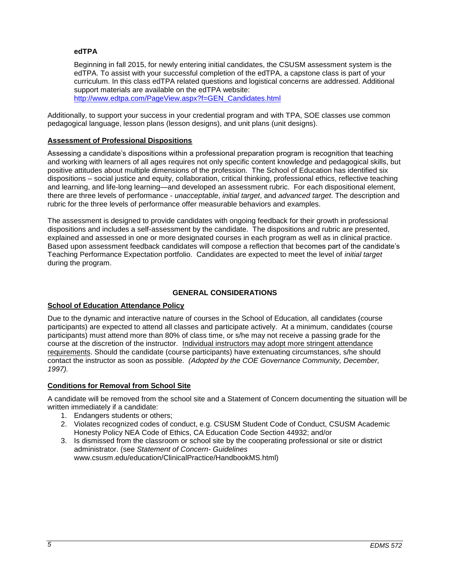### **edTPA**

Beginning in fall 2015, for newly entering initial candidates, the CSUSM assessment system is the edTPA. To assist with your successful completion of the edTPA, a capstone class is part of your curriculum. In this class edTPA related questions and logistical concerns are addressed. Additional support materials are available on the edTPA website: [http://www.edtpa.com/PageView.aspx?f=GEN\\_Candidates.html](http://www.edtpa.com/PageView.aspx?f=GEN_Candidates.html)

Additionally, to support your success in your credential program and with TPA, SOE classes use common pedagogical language, lesson plans (lesson designs), and unit plans (unit designs).

### **Assessment of Professional Dispositions**

Assessing a candidate's dispositions within a professional preparation program is recognition that teaching and working with learners of all ages requires not only specific content knowledge and pedagogical skills, but positive attitudes about multiple dimensions of the profession. The School of Education has identified six dispositions – social justice and equity, collaboration, critical thinking, professional ethics, reflective teaching and learning, and life-long learning—and developed an assessment rubric. For each dispositional element, there are three levels of performance - *unacceptable*, *initial target*, and *advanced target*. The description and rubric for the three levels of performance offer measurable behaviors and examples.

The assessment is designed to provide candidates with ongoing feedback for their growth in professional dispositions and includes a self-assessment by the candidate. The dispositions and rubric are presented, explained and assessed in one or more designated courses in each program as well as in clinical practice. Based upon assessment feedback candidates will compose a reflection that becomes part of the candidate's Teaching Performance Expectation portfolio. Candidates are expected to meet the level of *initial target* during the program.

## **GENERAL CONSIDERATIONS**

### **School of Education Attendance Policy**

Due to the dynamic and interactive nature of courses in the School of Education, all candidates (course participants) are expected to attend all classes and participate actively. At a minimum, candidates (course participants) must attend more than 80% of class time, or s/he may not receive a passing grade for the course at the discretion of the instructor. Individual instructors may adopt more stringent attendance requirements. Should the candidate (course participants) have extenuating circumstances, s/he should contact the instructor as soon as possible. *(Adopted by the COE Governance Community, December, 1997).*

### **Conditions for Removal from School Site**

A candidate will be removed from the school site and a Statement of Concern documenting the situation will be written immediately if a candidate:

- 1. Endangers students or others;
- 2. Violates recognized codes of conduct, e.g. CSUSM Student Code of Conduct, CSUSM Academic Honesty Policy NEA Code of Ethics, CA Education Code Section 44932; and/or
- 3. Is dismissed from the classroom or school site by the cooperating professional or site or district administrator. (see *Statement of Concern- Guidelines* www.csusm.edu/education/ClinicalPractice/HandbookMS.html)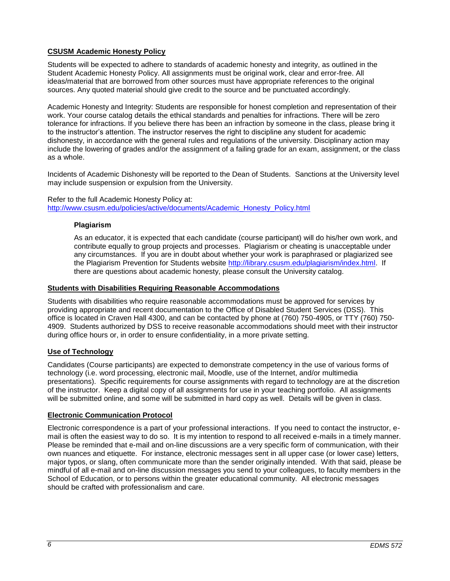# **CSUSM Academic Honesty Policy**

Students will be expected to adhere to standards of academic honesty and integrity, as outlined in the Student Academic Honesty Policy. All assignments must be original work, clear and error-free. All ideas/material that are borrowed from other sources must have appropriate references to the original sources. Any quoted material should give credit to the source and be punctuated accordingly.

Academic Honesty and Integrity: Students are responsible for honest completion and representation of their work. Your course catalog details the ethical standards and penalties for infractions. There will be zero tolerance for infractions. If you believe there has been an infraction by someone in the class, please bring it to the instructor's attention. The instructor reserves the right to discipline any student for academic dishonesty, in accordance with the general rules and regulations of the university. Disciplinary action may include the lowering of grades and/or the assignment of a failing grade for an exam, assignment, or the class as a whole.

Incidents of Academic Dishonesty will be reported to the Dean of Students. Sanctions at the University level may include suspension or expulsion from the University.

### Refer to the full Academic Honesty Policy at: [http://www.csusm.edu/policies/active/documents/Academic\\_Honesty\\_Policy.html](http://www.csusm.edu/policies/active/documents/Academic_Honesty_Policy.html)

### **Plagiarism**

As an educator, it is expected that each candidate (course participant) will do his/her own work, and contribute equally to group projects and processes. Plagiarism or cheating is unacceptable under any circumstances. If you are in doubt about whether your work is paraphrased or plagiarized see the Plagiarism Prevention for Students website [http://library.csusm.edu/plagiarism/index.html.](http://library.csusm.edu/plagiarism/index.html) If there are questions about academic honesty, please consult the University catalog.

### **Students with Disabilities Requiring Reasonable Accommodations**

Students with disabilities who require reasonable accommodations must be approved for services by providing appropriate and recent documentation to the Office of Disabled Student Services (DSS). This office is located in Craven Hall 4300, and can be contacted by phone at (760) 750-4905, or TTY (760) 750- 4909. Students authorized by DSS to receive reasonable accommodations should meet with their instructor during office hours or, in order to ensure confidentiality, in a more private setting.

### **Use of Technology**

Candidates (Course participants) are expected to demonstrate competency in the use of various forms of technology (i.e. word processing, electronic mail, Moodle, use of the Internet, and/or multimedia presentations). Specific requirements for course assignments with regard to technology are at the discretion of the instructor. Keep a digital copy of all assignments for use in your teaching portfolio. All assignments will be submitted online, and some will be submitted in hard copy as well. Details will be given in class.

### **Electronic Communication Protocol**

Electronic correspondence is a part of your professional interactions. If you need to contact the instructor, email is often the easiest way to do so. It is my intention to respond to all received e-mails in a timely manner. Please be reminded that e-mail and on-line discussions are a very specific form of communication, with their own nuances and etiquette. For instance, electronic messages sent in all upper case (or lower case) letters, major typos, or slang, often communicate more than the sender originally intended. With that said, please be mindful of all e-mail and on-line discussion messages you send to your colleagues, to faculty members in the School of Education, or to persons within the greater educational community. All electronic messages should be crafted with professionalism and care.